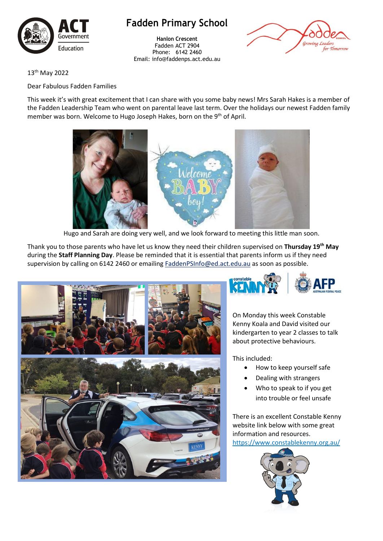

# **Fadden Primary School**

**Hanlon Crescent** Fadden ACT 2904 Phone: 6142 2460 Email: info@faddenps.act.edu.au



13th May 2022

### Dear Fabulous Fadden Families

This week it's with great excitement that I can share with you some baby news! Mrs Sarah Hakes is a member of the Fadden Leadership Team who went on parental leave last term. Over the holidays our newest Fadden family member was born. Welcome to Hugo Joseph Hakes, born on the 9<sup>th</sup> of April.



Hugo and Sarah are doing very well, and we look forward to meeting this little man soon.

Thank you to those parents who have let us know they need their children supervised on **Thursday 19th May**  during the **Staff Planning Day**. Please be reminded that it is essential that parents inform us if they need supervision by calling on 6142 2460 or emailing [FaddenPSInfo@ed.act.edu.au](mailto:FaddenPSInfo@ed.act.edu.au) as soon as possible.





On Monday this week Constable Kenny Koala and David visited our kindergarten to year 2 classes to talk about protective behaviours.

This included:

- How to keep yourself safe
- Dealing with strangers
- Who to speak to if you get into trouble or feel unsafe

There is an excellent Constable Kenny website link below with some great information and resources. <https://www.constablekenny.org.au/>